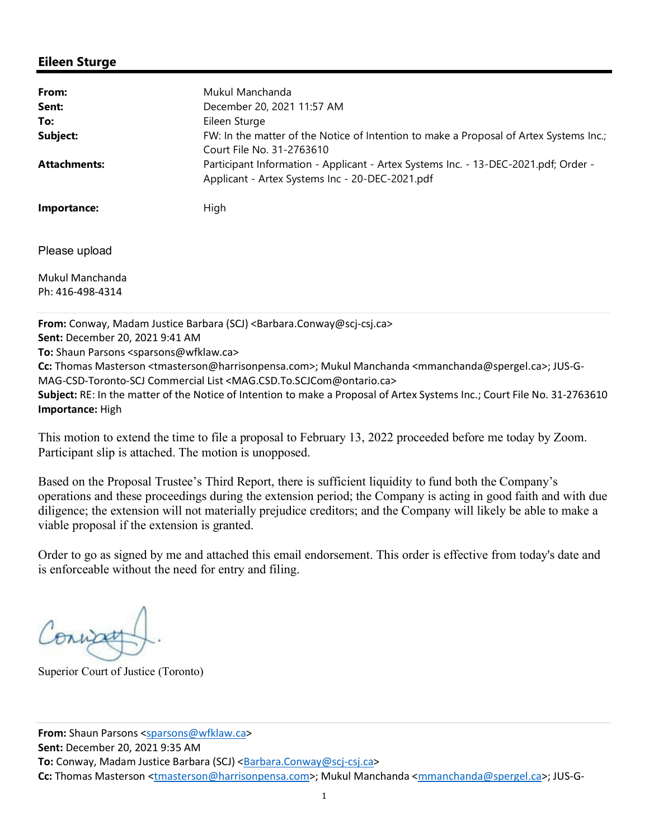## **Eileen Sturge**

| From:               | Mukul Manchanda                                                                                                                        |
|---------------------|----------------------------------------------------------------------------------------------------------------------------------------|
| Sent:               | December 20, 2021 11:57 AM                                                                                                             |
| To:                 | Eileen Sturge                                                                                                                          |
| Subject:            | FW: In the matter of the Notice of Intention to make a Proposal of Artex Systems Inc.;<br>Court File No. 31-2763610                    |
| <b>Attachments:</b> | Participant Information - Applicant - Artex Systems Inc. - 13-DEC-2021.pdf; Order -<br>Applicant - Artex Systems Inc - 20-DEC-2021.pdf |
| Importance:         | High                                                                                                                                   |
| Please upload       |                                                                                                                                        |
| Mukul Manchanda     |                                                                                                                                        |
| Ph: 416-498-4314    |                                                                                                                                        |
|                     | From: Conway, Madam Justice Barbara (SCJ) <barbara.conway@scj-csj.ca></barbara.conway@scj-csj.ca>                                      |

**Sent:** December 20, 2021 9:41 AM

**To:** Shaun Parsons <sparsons@wfklaw.ca>

**Cc:** Thomas Masterson <tmasterson@harrisonpensa.com>; Mukul Manchanda <mmanchanda@spergel.ca>; JUS-G-MAG-CSD-Toronto-SCJ Commercial List <MAG.CSD.To.SCJCom@ontario.ca>

**Subject:** RE: In the matter of the Notice of Intention to make a Proposal of Artex Systems Inc.; Court File No. 31-2763610 **Importance:** High

This motion to extend the time to file a proposal to February 13, 2022 proceeded before me today by Zoom. Participant slip is attached. The motion is unopposed.

Based on the Proposal Trustee's Third Report, there is sufficient liquidity to fund both the Company's operations and these proceedings during the extension period; the Company is acting in good faith and with due diligence; the extension will not materially prejudice creditors; and the Company will likely be able to make a viable proposal if the extension is granted.

Order to go as signed by me and attached this email endorsement. This order is effective from today's date and is enforceable without the need for entry and filing.

Conna

Superior Court of Justice (Toronto)

**From:** Shaun Parsons <sparsons@wfklaw.ca> **Sent:** December 20, 2021 9:35 AM To: Conway, Madam Justice Barbara (SCJ) <**Barbara.Conway@scj-csj.ca> Cc:** Thomas Masterson <tmasterson@harrisonpensa.com>; Mukul Manchanda <mmanchanda@spergel.ca>; JUS-G-